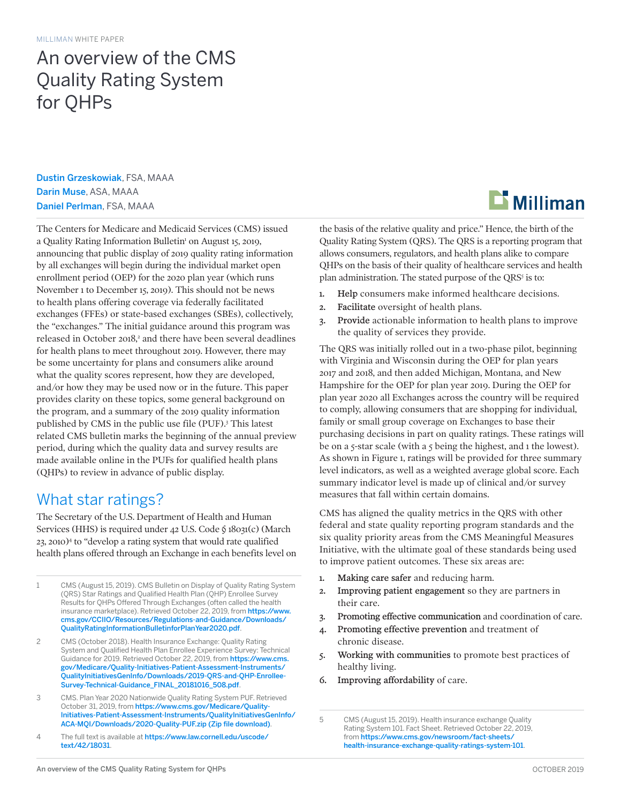## An overview of the CMS Quality Rating System for QHPs

Dustin Grzeskowiak, FSA, MAAA Darin Muse, ASA, MAAA Daniel Perlman, FSA, MAAA

The Centers for Medicare and Medicaid Services (CMS) issued a Quality Rating Information Bulletin<sup>1</sup> on August 15, 2019, announcing that public display of 2019 quality rating information by all exchanges will begin during the individual market open enrollment period (OEP) for the 2020 plan year (which runs November 1 to December 15, 2019). This should not be news to health plans offering coverage via federally facilitated exchanges (FFEs) or state-based exchanges (SBEs), collectively, the "exchanges." The initial guidance around this program was released in October 2018,<sup>2</sup> and there have been several deadlines for health plans to meet throughout 2019. However, there may be some uncertainty for plans and consumers alike around what the quality scores represent, how they are developed, and/or how they may be used now or in the future. This paper provides clarity on these topics, some general background on the program, and a summary of the 2019 quality information published by CMS in the public use file (PUF).<sup>3</sup> This latest related CMS bulletin marks the beginning of the annual preview period, during which the quality data and survey results are made available online in the PUFs for qualified health plans (QHPs) to review in advance of public display.

#### What star ratings?

The Secretary of the U.S. Department of Health and Human Services (HHS) is required under 42 U.S. Code § 18031(c) (March 23, 2010)4 to "develop a rating system that would rate qualified health plans offered through an Exchange in each benefits level on

- 1 CMS (August 15, 2019). CMS Bulletin on Display of Quality Rating System (QRS) Star Ratings and Qualified Health Plan (QHP) Enrollee Survey Results for QHPs Offered Through Exchanges (often called the health insurance marketplace). Retrieved October 22, 2019, from https://www. cms.gov/CCIIO/Resources/Regulations-and-Guidance/Downloads/ QualityRatingInformationBulletinforPlanYear2020.pdf.
- 2 CMS (October 2018). Health Insurance Exchange: Quality Rating System and Qualified Health Plan Enrollee Experience Survey: Technical Guidance for 2019. Retrieved October 22, 2019, from https://www.cms. gov/Medicare/Quality-Initiatives-Patient-Assessment-Instruments/ QualityInitiativesGenInfo/Downloads/2019-QRS-and-QHP-Enrollee-Survey-Technical-Guidance\_FINAL\_20181016\_508.pdf.
- 3 CMS. Plan Year 2020 Nationwide Quality Rating System PUF. Retrieved October 31, 2019, from [https://www.cms.gov/Medicare/Quality-](https://www.cms.gov/Medicare/Quality-Initiatives-Patient-Assessment-Instruments/QualityInitiativesGenInfo/ACA-MQI/Downloads/2020-Quality-PUF.zip)[Initiatives-Patient-Assessment-Instruments/QualityInitiativesGenInfo/](https://www.cms.gov/Medicare/Quality-Initiatives-Patient-Assessment-Instruments/QualityInitiativesGenInfo/ACA-MQI/Downloads/2020-Quality-PUF.zip) [ACA-MQI/Downloads/2020-Quality-PUF.zip](https://www.cms.gov/Medicare/Quality-Initiatives-Patient-Assessment-Instruments/QualityInitiativesGenInfo/ACA-MQI/Downloads/2020-Quality-PUF.zip) (Zip file download).
- 4 The full text is available at https://www.law.cornell.edu/uscode/ text/42/18031.



the basis of the relative quality and price." Hence, the birth of the Quality Rating System (QRS). The QRS is a reporting program that allows consumers, regulators, and health plans alike to compare QHPs on the basis of their quality of healthcare services and health plan administration. The stated purpose of the QRS<sup>5</sup> is to:

- 1. Help consumers make informed healthcare decisions.
- 2. Facilitate oversight of health plans.
- 3. Provide actionable information to health plans to improve the quality of services they provide.

The QRS was initially rolled out in a two-phase pilot, beginning with Virginia and Wisconsin during the OEP for plan years 2017 and 2018, and then added Michigan, Montana, and New Hampshire for the OEP for plan year 2019. During the OEP for plan year 2020 all Exchanges across the country will be required to comply, allowing consumers that are shopping for individual, family or small group coverage on Exchanges to base their purchasing decisions in part on quality ratings. These ratings will be on a 5-star scale (with a 5 being the highest, and 1 the lowest). As shown in Figure 1, ratings will be provided for three summary level indicators, as well as a weighted average global score. Each summary indicator level is made up of clinical and/or survey measures that fall within certain domains.

CMS has aligned the quality metrics in the QRS with other federal and state quality reporting program standards and the six quality priority areas from the CMS Meaningful Measures Initiative, with the ultimate goal of these standards being used to improve patient outcomes. These six areas are:

- 1. Making care safer and reducing harm.
- 2. Improving patient engagement so they are partners in their care.
- 3. Promoting effective communication and coordination of care.
- 4. Promoting effective prevention and treatment of chronic disease.
- 5. Working with communities to promote best practices of healthy living.
- 6. Improving affordability of care.

<sup>5</sup> CMS (August 15, 2019). Health insurance exchange Quality Rating System 101. Fact Sheet. Retrieved October 22, 2019, from https://www.cms.gov/newsroom/fact-sheets/ health-insurance-exchange-quality-ratings-system-101.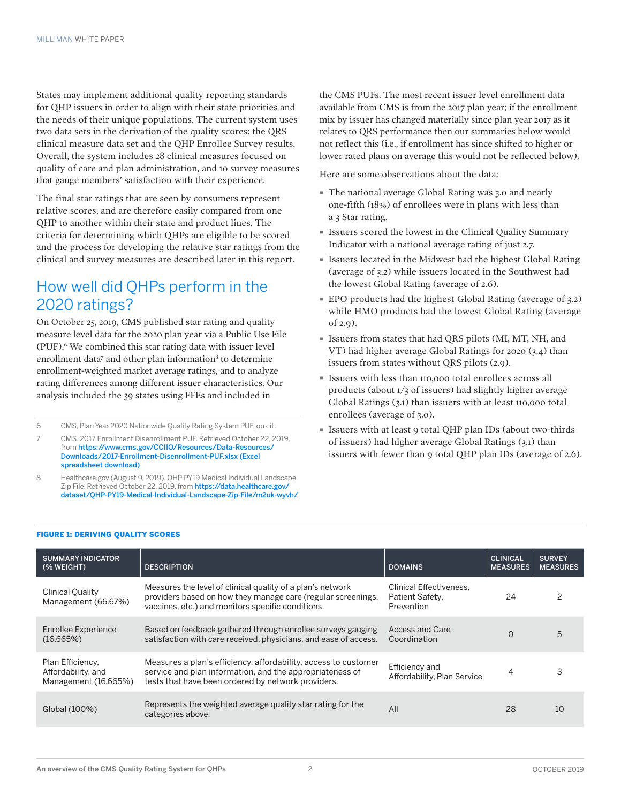States may implement additional quality reporting standards for QHP issuers in order to align with their state priorities and the needs of their unique populations. The current system uses two data sets in the derivation of the quality scores: the QRS clinical measure data set and the QHP Enrollee Survey results. Overall, the system includes 28 clinical measures focused on quality of care and plan administration, and 10 survey measures that gauge members' satisfaction with their experience.

The final star ratings that are seen by consumers represent relative scores, and are therefore easily compared from one QHP to another within their state and product lines. The criteria for determining which QHPs are eligible to be scored and the process for developing the relative star ratings from the clinical and survey measures are described later in this report.

### How well did QHPs perform in the 2020 ratings?

On October 25, 2019, CMS published star rating and quality measure level data for the 2020 plan year via a Public Use File (PUF).6 We combined this star rating data with issuer level enrollment data<sup>7</sup> and other plan information<sup>8</sup> to determine enrollment-weighted market average ratings, and to analyze rating differences among different issuer characteristics. Our analysis included the 39 states using FFEs and included in

6 CMS, Plan Year 2020 Nationwide Quality Rating System PUF, op cit.

- 7 CMS. 2017 Enrollment Disenrollment PUF. Retrieved October 22, 2019, from https://www.cms.gov/CCIIO/Resources/Data-Resources/ Downloads/2017-Enrollment-Disenrollment-PUF.xlsx (Excel spreadsheet download).
- 8 Healthcare.gov (August 9, 2019). QHP PY19 Medical Individual Landscape Zip File. Retrieved October 22, 2019, from https://data.healthcare.gov/ dataset/QHP-PY19-Medical-Individual-Landscape-Zip-File/m2uk-wyvh/.

the CMS PUFs. The most recent issuer level enrollment data available from CMS is from the 2017 plan year; if the enrollment mix by issuer has changed materially since plan year 2017 as it relates to QRS performance then our summaries below would not reflect this (i.e., if enrollment has since shifted to higher or lower rated plans on average this would not be reflected below).

Here are some observations about the data:

- · The national average Global Rating was 3.0 and nearly one-fifth (18%) of enrollees were in plans with less than a 3 Star rating.
- · Issuers scored the lowest in the Clinical Quality Summary Indicator with a national average rating of just 2.7.
- · Issuers located in the Midwest had the highest Global Rating (average of 3.2) while issuers located in the Southwest had the lowest Global Rating (average of 2.6).
- · EPO products had the highest Global Rating (average of 3.2) while HMO products had the lowest Global Rating (average of 2.9).
- · Issuers from states that had QRS pilots (MI, MT, NH, and VT) had higher average Global Ratings for 2020 (3.4) than issuers from states without QRS pilots (2.9).
- · Issuers with less than 110,000 total enrollees across all products (about 1/3 of issuers) had slightly higher average Global Ratings (3.1) than issuers with at least 110,000 total enrollees (average of 3.0).
- · Issuers with at least 9 total QHP plan IDs (about two-thirds of issuers) had higher average Global Ratings (3.1) than issuers with fewer than 9 total QHP plan IDs (average of 2.6).

| <b>SUMMARY INDICATOR</b><br>(% WEIGHT)                         | <b>DESCRIPTION</b>                                                                                                                                                                | <b>DOMAINS</b>                                           | <b>CLINICAL</b><br><b>MEASURES</b> | <b>SURVEY</b><br><b>MEASURES</b> |
|----------------------------------------------------------------|-----------------------------------------------------------------------------------------------------------------------------------------------------------------------------------|----------------------------------------------------------|------------------------------------|----------------------------------|
| <b>Clinical Quality</b><br>Management (66.67%)                 | Measures the level of clinical quality of a plan's network<br>providers based on how they manage care (regular screenings,<br>vaccines, etc.) and monitors specific conditions.   | Clinical Effectiveness.<br>Patient Safety,<br>Prevention | 24                                 |                                  |
| Enrollee Experience<br>(16.665%)                               | Based on feedback gathered through enrollee surveys gauging<br>satisfaction with care received, physicians, and ease of access.                                                   | <b>Access and Care</b><br>Coordination                   | $\Omega$                           | 5                                |
| Plan Efficiency.<br>Affordability, and<br>Management (16.665%) | Measures a plan's efficiency, affordability, access to customer<br>service and plan information, and the appropriateness of<br>tests that have been ordered by network providers. | Efficiency and<br>Affordability, Plan Service            | 4                                  |                                  |
| Global (100%)                                                  | Represents the weighted average quality star rating for the<br>categories above.                                                                                                  | All                                                      | 28                                 | 10                               |

#### FIGURE 1: DERIVING QUALITY SCORES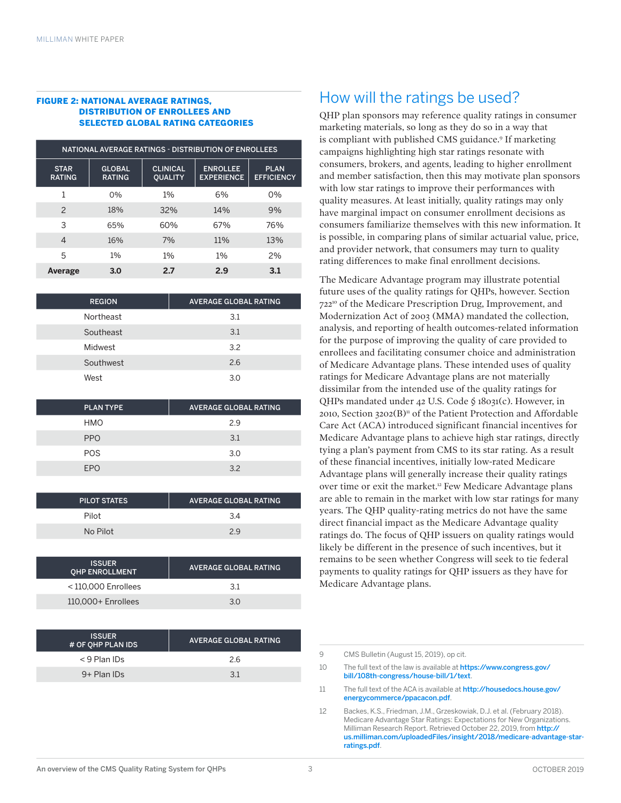#### FIGURE 2: NATIONAL AVERAGE RATINGS, DISTRIBUTION OF ENROLLEES AND SELECTED GLOBAL RATING CATEGORIES

| NATIONAL AVERAGE RATINGS - DISTRIBUTION OF ENROLLEES |                                |                                   |                                      |                                  |
|------------------------------------------------------|--------------------------------|-----------------------------------|--------------------------------------|----------------------------------|
| <b>STAR</b><br><b>RATING</b>                         | <b>GLOBAL</b><br><b>RATING</b> | <b>CLINICAL</b><br><b>OUALITY</b> | <b>ENROLLEE</b><br><b>EXPERIENCE</b> | <b>PLAN</b><br><b>EFFICIENCY</b> |
| 1                                                    | 0%                             | $1\%$                             | 6%                                   | $0\%$                            |
| $\mathcal{P}$                                        | 18%                            | 32%                               | 14%                                  | 9%                               |
| 3                                                    | 65%                            | 60%                               | 67%                                  | 76%                              |
| $\overline{4}$                                       | 16%                            | 7%                                | 11%                                  | 13%                              |
| 5                                                    | $1\%$                          | $1\%$                             | 1%                                   | 2%                               |
| <b>Average</b>                                       | 3.0                            | 2.7                               | 2.9                                  | 3.1                              |

| <b>REGION</b> | <b>AVERAGE GLOBAL RATING</b> |
|---------------|------------------------------|
| Northeast     | 3.1                          |
| Southeast     | 3.1                          |
| Midwest       | 3.2                          |
| Southwest     | 2.6                          |
| West          | 3.0                          |

| <b>PLAN TYPE</b> | <b>AVERAGE GLOBAL RATING</b> |
|------------------|------------------------------|
| HMO              | 2.9                          |
| <b>PPO</b>       | 3.1                          |
| <b>POS</b>       | 3.0                          |
| トレい              | 32                           |

| PILOT STATES | <b>AVERAGE GLOBAL RATING</b> |
|--------------|------------------------------|
| Pilot        | 34                           |
| No Pilot     | 29                           |

| <b>ISSUER</b><br><b>OHP ENROLLMENT</b> | <b>AVERAGE GLOBAL RATING</b> |
|----------------------------------------|------------------------------|
| $<$ 110.000 Enrollees                  | 3.1                          |
| 110.000+ Enrollees                     | 30                           |

| <b>ISSUER</b><br># OF OHP PLAN IDS | AVERAGE GLOBAL RATING |
|------------------------------------|-----------------------|
| $<$ 9 Plan IDs                     | 26                    |
| 9+ Plan IDs                        | -२ १                  |

### How will the ratings be used?

QHP plan sponsors may reference quality ratings in consumer marketing materials, so long as they do so in a way that is compliant with published CMS guidance.9 If marketing campaigns highlighting high star ratings resonate with consumers, brokers, and agents, leading to higher enrollment and member satisfaction, then this may motivate plan sponsors with low star ratings to improve their performances with quality measures. At least initially, quality ratings may only have marginal impact on consumer enrollment decisions as consumers familiarize themselves with this new information. It is possible, in comparing plans of similar actuarial value, price, and provider network, that consumers may turn to quality rating differences to make final enrollment decisions.

The Medicare Advantage program may illustrate potential future uses of the quality ratings for QHPs, however. Section 72210 of the Medicare Prescription Drug, Improvement, and Modernization Act of 2003 (MMA) mandated the collection, analysis, and reporting of health outcomes-related information for the purpose of improving the quality of care provided to enrollees and facilitating consumer choice and administration of Medicare Advantage plans. These intended uses of quality ratings for Medicare Advantage plans are not materially dissimilar from the intended use of the quality ratings for QHPs mandated under 42 U.S. Code § 18031(c). However, in 2010, Section 3202(B)<sup>11</sup> of the Patient Protection and Affordable Care Act (ACA) introduced significant financial incentives for Medicare Advantage plans to achieve high star ratings, directly tying a plan's payment from CMS to its star rating. As a result of these financial incentives, initially low-rated Medicare Advantage plans will generally increase their quality ratings over time or exit the market.<sup>12</sup> Few Medicare Advantage plans are able to remain in the market with low star ratings for many years. The QHP quality-rating metrics do not have the same direct financial impact as the Medicare Advantage quality ratings do. The focus of QHP issuers on quality ratings would likely be different in the presence of such incentives, but it remains to be seen whether Congress will seek to tie federal payments to quality ratings for QHP issuers as they have for Medicare Advantage plans.

- 10 The full text of the law is available at https://www.congress.gov/ bill/108th-congress/house-bill/1/text.
- 11 The full text of the ACA is available at http://housedocs.house.gov/ energycommerce/ppacacon.pdf.

<sup>9</sup> CMS Bulletin (August 15, 2019), op cit.

<sup>12</sup> Backes, K.S., Friedman, J.M., Grzeskowiak, D.J. et al. (February 2018). Medicare Advantage Star Ratings: Expectations for New Organizations. Milliman Research Report. Retrieved October 22, 2019, from http:// us.milliman.com/uploadedFiles/insight/2018/medicare-advantage-starratings.pdf.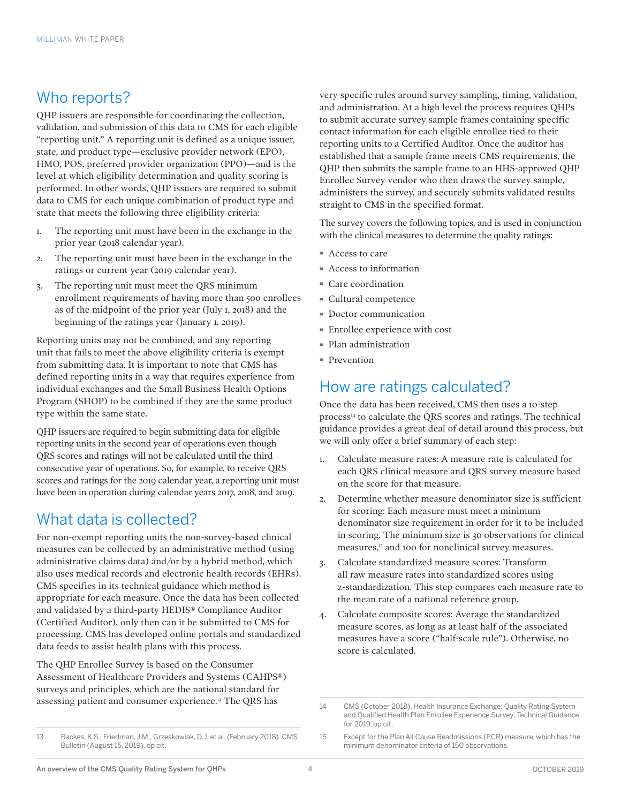### Who reports?

QHP issuers are responsible for coordinating the collection, validation, and submission of this data to CMS for each eligible "reporting unit." A reporting unit is defined as a unique issuer, state, and product type—exclusive provider network (EPO), HMO, POS, preferred provider organization (PPO)—and is the level at which eligibility determination and quality scoring is performed. In other words, QHP issuers are required to submit data to CMS for each unique combination of product type and state that meets the following three eligibility criteria:

- 1. The reporting unit must have been in the exchange in the prior year (2018 calendar year).
- 2. The reporting unit must have been in the exchange in the ratings or current year (2019 calendar year).
- 3. The reporting unit must meet the QRS minimum enrollment requirements of having more than 500 enrollees as of the midpoint of the prior year (July 1, 2018) and the beginning of the ratings year (January 1, 2019).

Reporting units may not be combined, and any reporting unit that fails to meet the above eligibility criteria is exempt from submitting data. It is important to note that CMS has defined reporting units in a way that requires experience from individual exchanges and the Small Business Health Options Program (SHOP) to be combined if they are the same product type within the same state.

QHP issuers are required to begin submitting data for eligible reporting units in the second year of operations even though QRS scores and ratings will not be calculated until the third consecutive year of operations. So, for example, to receive QRS scores and ratings for the 2019 calendar year, a reporting unit must have been in operation during calendar years 2017, 2018, and 2019.

### What data is collected?

For non-exempt reporting units the non-survey-based clinical measures can be collected by an administrative method (using administrative claims data) and/or by a hybrid method, which also uses medical records and electronic health records (EHRs). CMS specifies in its technical guidance which method is appropriate for each measure. Once the data has been collected and validated by a third-party HEDIS® Compliance Auditor (Certified Auditor), only then can it be submitted to CMS for processing. CMS has developed online portals and standardized data feeds to assist health plans with this process.

The QHP Enrollee Survey is based on the Consumer Assessment of Healthcare Providers and Systems (CAHPS®) surveys and principles, which are the national standard for assessing patient and consumer experience.13 The QRS has

very specific rules around survey sampling, timing, validation, and administration. At a high level the process requires QHPs to submit accurate survey sample frames containing specific contact information for each eligible enrollee tied to their reporting units to a Certified Auditor. Once the auditor has established that a sample frame meets CMS requirements, the QHP then submits the sample frame to an HHS-approved QHP Enrollee Survey vendor who then draws the survey sample, administers the survey, and securely submits validated results straight to CMS in the specified format.

The survey covers the following topics, and is used in conjunction with the clinical measures to determine the quality ratings:

- · Access to care
- · Access to information
- · Care coordination
- · Cultural competence
- · Doctor communication
- · Enrollee experience with cost
- · Plan administration
- · Prevention

#### How are ratings calculated?

Once the data has been received, CMS then uses a 10-step process<sup>14</sup> to calculate the QRS scores and ratings. The technical guidance provides a great deal of detail around this process, but we will only offer a brief summary of each step:

- 1. Calculate measure rates: A measure rate is calculated for each QRS clinical measure and QRS survey measure based on the score for that measure.
- 2. Determine whether measure denominator size is sufficient for scoring: Each measure must meet a minimum denominator size requirement in order for it to be included in scoring. The minimum size is 30 observations for clinical measures,<sup>15</sup> and 100 for nonclinical survey measures.
- 3. Calculate standardized measure scores: Transform all raw measure rates into standardized scores using z-standardization. This step compares each measure rate to the mean rate of a national reference group.
- 4. Calculate composite scores: Average the standardized measure scores, as long as at least half of the associated measures have a score ("half-scale rule"). Otherwise, no score is calculated.

<sup>14</sup> CMS (October 2018), Health Insurance Exchange: Quality Rating System and Qualified Health Plan Enrollee Experience Survey: Technical Guidance for 2019, op cit.

<sup>15</sup> Except for the Plan All Cause Readmissions (PCR) measure, which has the minimum denominator criteria of 150 observations.

<sup>13</sup> Backes, K.S., Friedman, J.M., Grzeskowiak, D.J. et al. (February 2018). CMS Bulletin (August 15, 2019), op cit.